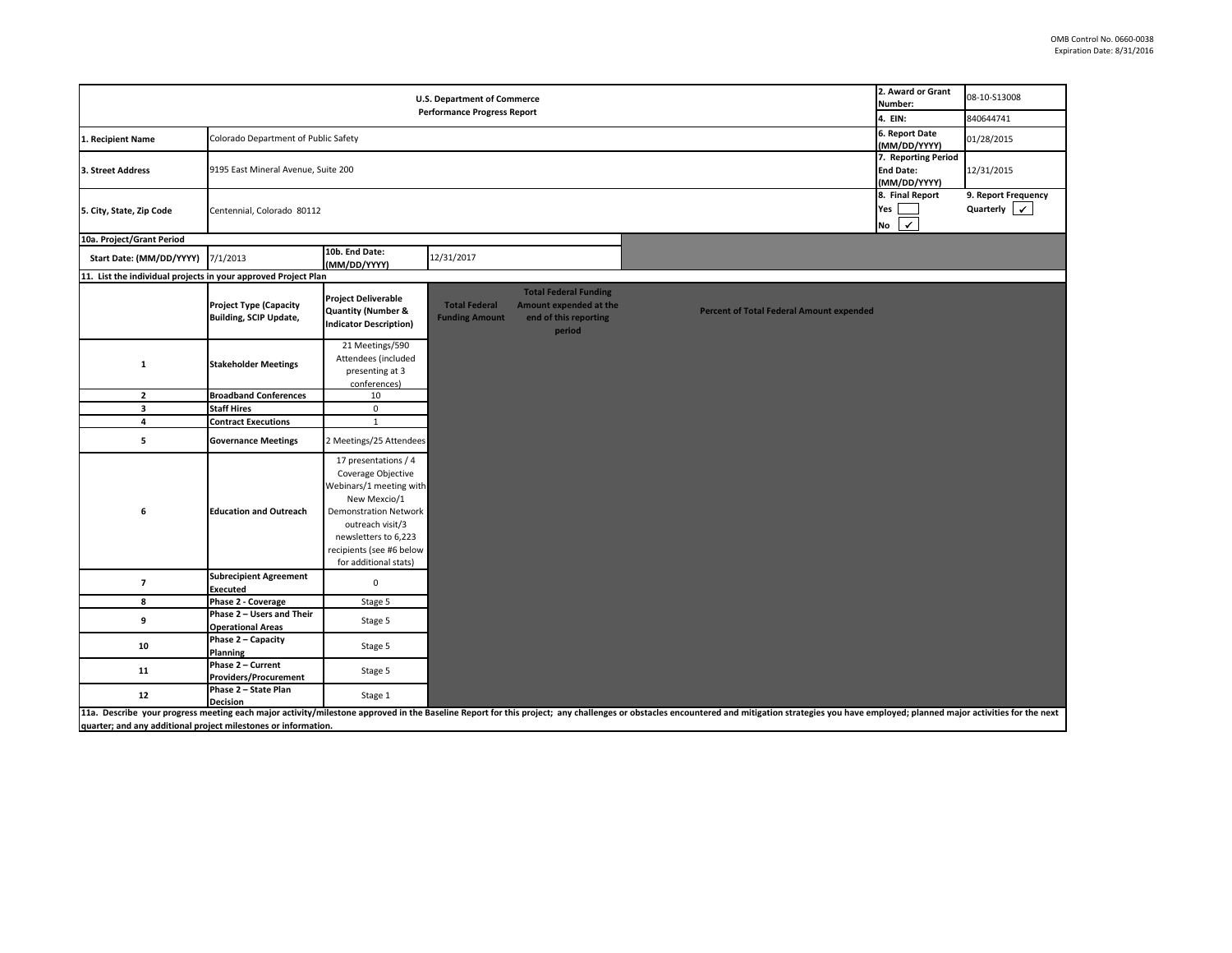| 2. Award or Grant<br><b>U.S. Department of Commerce</b><br>Number:<br><b>Performance Progress Report</b><br>4. EIN: |                                                                |                                                                                                                                                                                                                        |                                               |                                                                                           |                                                                                                                                                                                                                                |                | 08-10-S13008            |
|---------------------------------------------------------------------------------------------------------------------|----------------------------------------------------------------|------------------------------------------------------------------------------------------------------------------------------------------------------------------------------------------------------------------------|-----------------------------------------------|-------------------------------------------------------------------------------------------|--------------------------------------------------------------------------------------------------------------------------------------------------------------------------------------------------------------------------------|----------------|-------------------------|
|                                                                                                                     |                                                                |                                                                                                                                                                                                                        |                                               |                                                                                           |                                                                                                                                                                                                                                |                | 840644741               |
| 1. Recipient Name                                                                                                   | Colorado Department of Public Safety                           |                                                                                                                                                                                                                        |                                               |                                                                                           |                                                                                                                                                                                                                                | 6. Report Date | 01/28/2015              |
|                                                                                                                     |                                                                | (MM/DD/YYYY)<br>7. Reporting Period                                                                                                                                                                                    |                                               |                                                                                           |                                                                                                                                                                                                                                |                |                         |
| 3. Street Address                                                                                                   | 9195 East Mineral Avenue, Suite 200                            |                                                                                                                                                                                                                        |                                               |                                                                                           |                                                                                                                                                                                                                                |                | 12/31/2015              |
|                                                                                                                     |                                                                | <b>End Date:</b><br>(MM/DD/YYYY)                                                                                                                                                                                       |                                               |                                                                                           |                                                                                                                                                                                                                                |                |                         |
|                                                                                                                     |                                                                | 8. Final Report                                                                                                                                                                                                        | 9. Report Frequency                           |                                                                                           |                                                                                                                                                                                                                                |                |                         |
| 5. City, State, Zip Code                                                                                            | Centennial, Colorado 80112                                     |                                                                                                                                                                                                                        |                                               |                                                                                           |                                                                                                                                                                                                                                |                | Quarterly $\mathcal{V}$ |
|                                                                                                                     |                                                                | $\checkmark$<br>No                                                                                                                                                                                                     |                                               |                                                                                           |                                                                                                                                                                                                                                |                |                         |
| 10a. Project/Grant Period                                                                                           |                                                                |                                                                                                                                                                                                                        |                                               |                                                                                           |                                                                                                                                                                                                                                |                |                         |
| Start Date: (MM/DD/YYYY)                                                                                            | 7/1/2013                                                       | 10b. End Date:<br>(MM/DD/YYYY)                                                                                                                                                                                         | 12/31/2017                                    |                                                                                           |                                                                                                                                                                                                                                |                |                         |
| 11. List the individual projects in your approved Project Plan                                                      |                                                                |                                                                                                                                                                                                                        |                                               |                                                                                           |                                                                                                                                                                                                                                |                |                         |
|                                                                                                                     | <b>Project Type (Capacity</b><br><b>Building, SCIP Update,</b> | <b>Project Deliverable</b><br>Quantity (Number &<br><b>Indicator Description)</b>                                                                                                                                      | <b>Total Federal</b><br><b>Funding Amount</b> | <b>Total Federal Funding</b><br>Amount expended at the<br>end of this reporting<br>period | <b>Percent of Total Federal Amount expended</b>                                                                                                                                                                                |                |                         |
| 1                                                                                                                   | <b>Stakeholder Meetings</b>                                    | 21 Meetings/590<br>Attendees (included<br>presenting at 3<br>conferences)                                                                                                                                              |                                               |                                                                                           |                                                                                                                                                                                                                                |                |                         |
| $\overline{2}$                                                                                                      | <b>Broadband Conferences</b>                                   | 10                                                                                                                                                                                                                     |                                               |                                                                                           |                                                                                                                                                                                                                                |                |                         |
| $\overline{\mathbf{3}}$                                                                                             | <b>Staff Hires</b>                                             | $\pmb{0}$                                                                                                                                                                                                              |                                               |                                                                                           |                                                                                                                                                                                                                                |                |                         |
| $\overline{\mathbf{4}}$                                                                                             | <b>Contract Executions</b>                                     | $\mathbf{1}$                                                                                                                                                                                                           |                                               |                                                                                           |                                                                                                                                                                                                                                |                |                         |
| 5                                                                                                                   | <b>Governance Meetings</b>                                     | 2 Meetings/25 Attendees                                                                                                                                                                                                |                                               |                                                                                           |                                                                                                                                                                                                                                |                |                         |
| 6                                                                                                                   | <b>Education and Outreach</b>                                  | 17 presentations / 4<br>Coverage Objective<br>Webinars/1 meeting with<br>New Mexcio/1<br><b>Demonstration Network</b><br>outreach visit/3<br>newsletters to 6,223<br>recipients (see #6 below<br>for additional stats) |                                               |                                                                                           |                                                                                                                                                                                                                                |                |                         |
| $\overline{7}$                                                                                                      | <b>Subrecipient Agreement</b><br>Executed                      | $\pmb{0}$                                                                                                                                                                                                              |                                               |                                                                                           |                                                                                                                                                                                                                                |                |                         |
| 8                                                                                                                   | Phase 2 - Coverage                                             | Stage 5                                                                                                                                                                                                                |                                               |                                                                                           |                                                                                                                                                                                                                                |                |                         |
| 9                                                                                                                   | Phase 2 - Users and Their<br><b>Operational Areas</b>          | Stage 5                                                                                                                                                                                                                |                                               |                                                                                           |                                                                                                                                                                                                                                |                |                         |
| 10                                                                                                                  | Phase 2 - Capacity<br>Planning                                 | Stage 5                                                                                                                                                                                                                |                                               |                                                                                           |                                                                                                                                                                                                                                |                |                         |
| 11                                                                                                                  | Phase 2 - Current<br><b>Providers/Procurement</b>              | Stage 5                                                                                                                                                                                                                |                                               |                                                                                           |                                                                                                                                                                                                                                |                |                         |
| ${\bf 12}$                                                                                                          | Phase 2 - State Plan<br><b>Decision</b>                        | Stage 1                                                                                                                                                                                                                |                                               |                                                                                           | 11a. Describe your progress meeting each major activity/milestone approved in the Baseline Report for this project; any challenges or obstacles encountered and mitigation strategies you have employed; planned major activit |                |                         |

**quarter; and any additional project milestones or information.**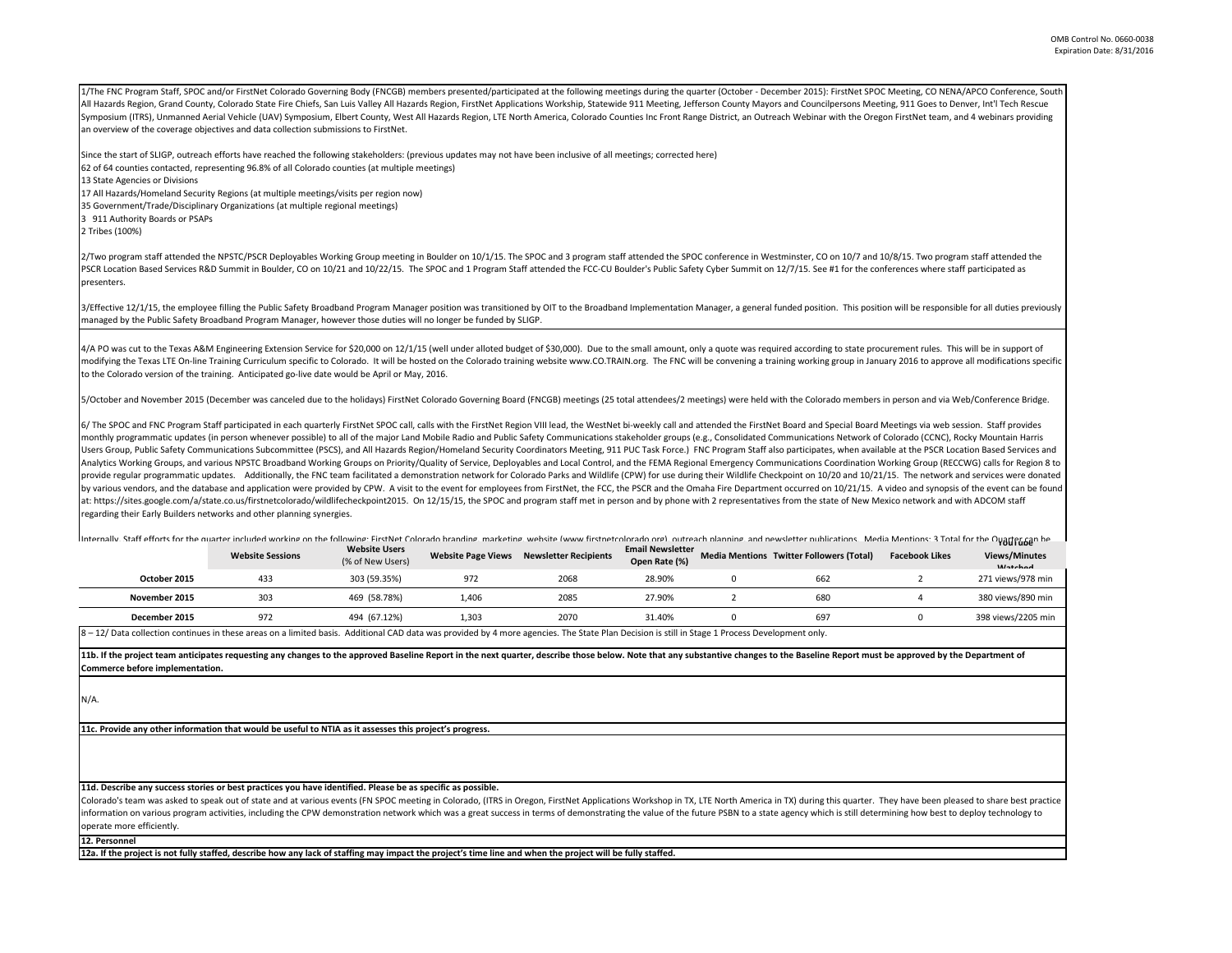1/The FNC Program Staff, SPOC and/or FirstNet Colorado Governing Body (FNCGB) members presented/participated at the following meetings during the quarter (October - December 2015): FirstNet SPOC Meeting, CO NENA/APCO Confe All Hazards Region, Grand County, Colorado State Fire Chiefs, San Luis Valley All Hazards Region, FirstNet Applications Workship, Statewide 911 Meeting, Jefferson County Mayors and Councilpersons Meeting, 911 Goes to Denve Symposium (ITRS), Unmanned Aerial Vehicle (UAV) Symposium, Elbert County, West All Hazards Region, LTE North America, Colorado Counties Inc Front Range District, an Outreach Webinar with the Oregon FirstNet team, and 4 web an overview of the coverage objectives and data collection submissions to FirstNet.

Since the start of SLIGP, outreach efforts have reached the following stakeholders: (previous updates may not have been inclusive of all meetings; corrected here)

62 of 64 counties contacted, representing 96.8% of all Colorado counties (at multiple meetings)

13 State Agencies or Divisions

17 All Hazards/Homeland Security Regions (at multiple meetings/visits per region now)

35 Government/Trade/Disciplinary Organizations (at multiple regional meetings)

3 911 Authority Boards or PSAPs

2 Tribes (100%)

2/Two program staff attended the NPSTC/PSCR Deployables Working Group meeting in Boulder on 10/1/15. The SPOC and 3 program staff attended the SPOC conference in Westminster, CO on 10/7 and 10/8/15. Two program staff atten PSCR Location Based Services R&D Summit in Boulder, CO on 10/21 and 10/22/15. The SPOC and 1 Program Staff attended the FCC-CU Boulder's Public Safety Cyber Summit on 12/7/15. See #1 for the conferences where staff partici presenters.

3/Effective 12/1/15, the employee filling the Public Safety Broadband Program Manager position was transitioned by OIT to the Broadband Implementation Manager, a general funded position. This position will be responsible f managed by the Public Safety Broadband Program Manager, however those duties will no longer be funded by SLIGP.

4/A PO was cut to the Texas A&M Engineering Extension Service for \$20,000 on 12/1/15 (well under alloted budget of \$30,000). Due to the small amount, only a quote was required according to state procurement rules. This wil modifying the Texas LTE On-line Training Curriculum specific to Colorado. It will be hosted on the Colorado training website www.CO.TRAIN.org. The FNC will be convening a training working group in January 2016 to approve a to the Colorado version of the training. Anticipated go-live date would be April or May, 2016.

5/October and November 2015 (December was canceled due to the holidays) FirstNet Colorado Governing Board (FNCGB) meetings (25 total attendees/2 meetings) were held with the Colorado members in person and via Web/Conferenc

6/ The SPOC and FNC Program Staff participated in each quarterly FirstNet SPOC call, calls with the FirstNet Region VIII lead, the WestNet bi-weekly call and attended the FirstNet Board and Special Board Meetings via web s monthly programmatic updates (in person whenever possible) to all of the major Land Mobile Radio and Public Safety Communications stakeholder groups (e.g., Consolidated Communications Network of Colorado (CCNC), Rocky Moun Users Group, Public Safety Communications Subcommittee (PSCS), and All Hazards Region/Homeland Security Coordinators Meeting, 911 PUC Task Force.) FNC Program Staff also participates, when available at the PSCR Location Ba Analytics Working Groups, and various NPSTC Broadband Working Groups on Priority/Quality of Service, Deployables and Local Control, and the FEMA Regional Emergency Communications Coordination Working Group (RECCWG) calls f provide regular programmatic updates. Additionally, the FNC team facilitated a demonstration network for Colorado Parks and Wildlife (CPW) for use during their Wildlife Checkpoint on 10/20 and 10/21/15. The network and ser by various vendors, and the database and application were provided by CPW. A visit to the event for employees from FirstNet, the FCC, the PSCR and the Omaha Fire Department occurred on 10/21/15. A video and synopsis of the at: https://sites.google.com/a/state.co.us/firstnetcolorado/wildlifecheckpoint2015. On 12/15/15, the SPOC and program staff met in person and by phone with 2 representatives from the state of New Mexico network and with AD regarding their Early Builders networks and other planning synergies.

Internally. Staff efforts for the quarter included working on the following: FirstNet Colorado branding. marketing. website (www.firstnetcolorado marketing marketing marketing marketing marketing marketing marketing market

|                                                                                                                                                                                                 | <b>Website Sessions</b> | <b>Website Users</b><br>(% of New Users) | <b>Website Page Views</b> | <b>Newsletter Recipients</b> | <b>Email Newsletter</b><br>Open Rate (%) |  | <b>Media Mentions Twitter Followers (Total)</b> | <b>Facebook Likes</b> | .<br><b>Views/Minutes</b><br>M <sub>thod</sub> |  |
|-------------------------------------------------------------------------------------------------------------------------------------------------------------------------------------------------|-------------------------|------------------------------------------|---------------------------|------------------------------|------------------------------------------|--|-------------------------------------------------|-----------------------|------------------------------------------------|--|
| October 2015                                                                                                                                                                                    | 433                     | 303 (59.35%)                             | 972                       | 2068                         | 28.90%                                   |  | 662                                             |                       | 271 views/978 min                              |  |
| November 2015                                                                                                                                                                                   | 303                     | 469 (58.78%)                             | 1.406                     | 2085                         | 27.90%                                   |  | 680                                             |                       | 380 views/890 min                              |  |
| December 2015                                                                                                                                                                                   | 972                     | 494 (67.12%)                             | 1.303                     | 2070                         | 31.40%                                   |  | 697                                             |                       | 398 views/2205 min                             |  |
| 8 - 12/ Data collection continues in these areas on a limited basis. Additional CAD data was provided by 4 more agencies. The State Plan Decision is still in Stage 1 Process Development only. |                         |                                          |                           |                              |                                          |  |                                                 |                       |                                                |  |

11b. If the project team anticipates requesting any changes to the approved Baseline Report in the next quarter, describe those below. Note that any substantive changes to the Baseline Report must be approved by the Depart **Commerce before implementation.** 

N/A.

**11c. Provide any other information that would be useful to NTIA as it assesses this project's progress.** 

**11d. Describe any success stories or best practices you have identified. Please be as specific as possible.**

Colorado's team was asked to speak out of state and at various events (FN SPOC meeting in Colorado, (ITRS in Oregon, FirstNet Applications Workshop in TX, LTE North America in TX) during this quarter. They have been please information on various program activities, including the CPW demonstration network which was a great success in terms of demonstrating the value of the future PSBN to a state agency which is still determining how best to d operate more efficiently.

**12. Personnel** 

**12a. If the project is not fully staffed, describe how any lack of staffing may impact the project's time line and when the project will be fully staffed.**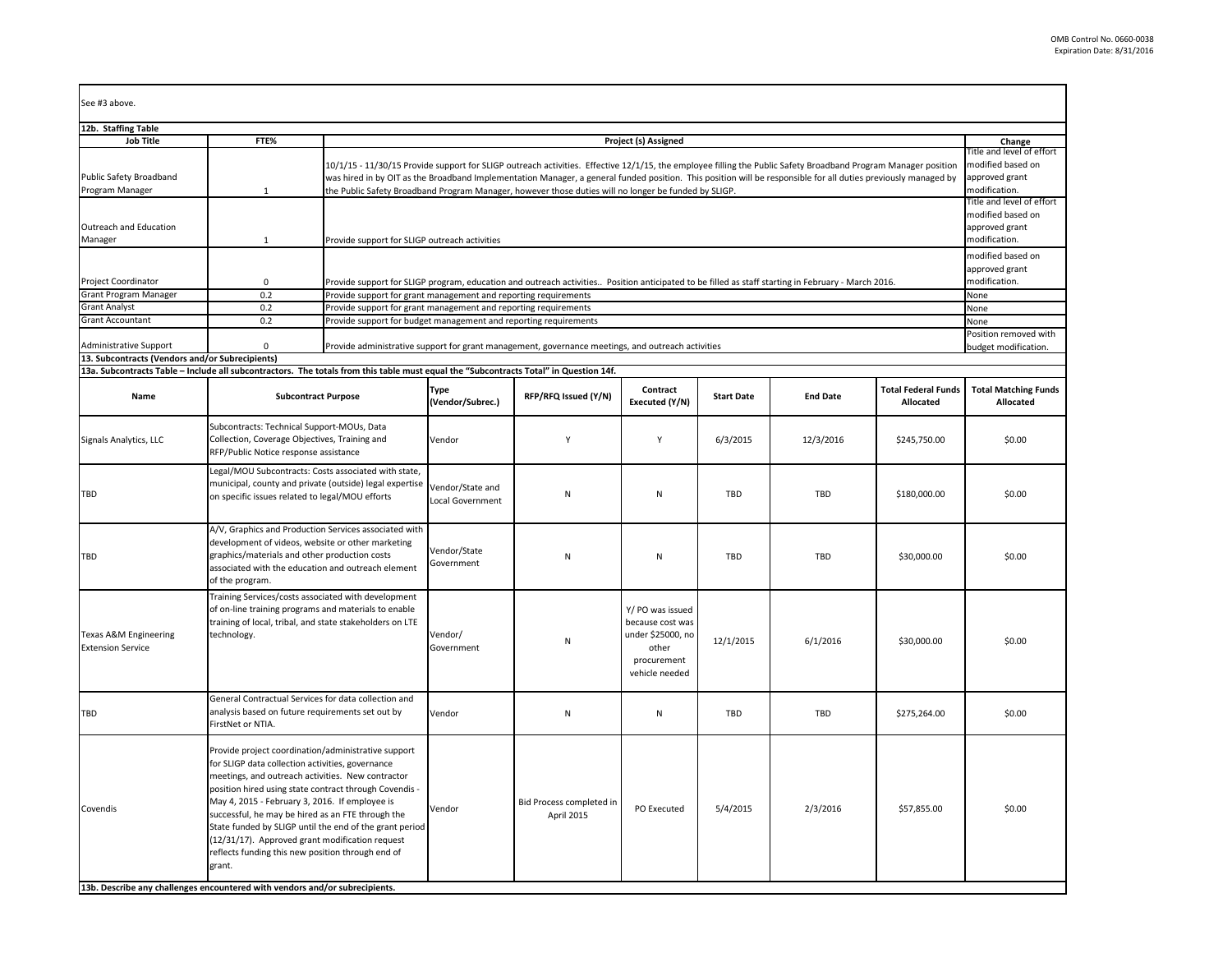| See #3 above.                                                                                                                                                                            |                                                                                                                                                                                                                                                                                                                                                                                                                                                                                                            |                                                                                                                                                                                                                                                                                                                                                                                                                                          |                                                                                                                                                                     |                                                                                                   |                                                                                                     |                   |                 |                                         |                                                                                                                                                                 |  |  |
|------------------------------------------------------------------------------------------------------------------------------------------------------------------------------------------|------------------------------------------------------------------------------------------------------------------------------------------------------------------------------------------------------------------------------------------------------------------------------------------------------------------------------------------------------------------------------------------------------------------------------------------------------------------------------------------------------------|------------------------------------------------------------------------------------------------------------------------------------------------------------------------------------------------------------------------------------------------------------------------------------------------------------------------------------------------------------------------------------------------------------------------------------------|---------------------------------------------------------------------------------------------------------------------------------------------------------------------|---------------------------------------------------------------------------------------------------|-----------------------------------------------------------------------------------------------------|-------------------|-----------------|-----------------------------------------|-----------------------------------------------------------------------------------------------------------------------------------------------------------------|--|--|
| 12b. Staffing Table                                                                                                                                                                      |                                                                                                                                                                                                                                                                                                                                                                                                                                                                                                            |                                                                                                                                                                                                                                                                                                                                                                                                                                          |                                                                                                                                                                     |                                                                                                   |                                                                                                     |                   |                 |                                         |                                                                                                                                                                 |  |  |
| <b>Job Title</b>                                                                                                                                                                         | FTE%                                                                                                                                                                                                                                                                                                                                                                                                                                                                                                       |                                                                                                                                                                                                                                                                                                                                                                                                                                          | Project (s) Assigned                                                                                                                                                |                                                                                                   |                                                                                                     |                   |                 |                                         |                                                                                                                                                                 |  |  |
| Public Safety Broadband<br>Program Manager<br>Outreach and Education                                                                                                                     | $\mathbf{1}$                                                                                                                                                                                                                                                                                                                                                                                                                                                                                               | 10/1/15 - 11/30/15 Provide support for SLIGP outreach activities. Effective 12/1/15, the employee filling the Public Safety Broadband Program Manager position<br>was hired in by OIT as the Broadband Implementation Manager, a general funded position. This position will be responsible for all duties previously managed by<br>the Public Safety Broadband Program Manager, however those duties will no longer be funded by SLIGP. |                                                                                                                                                                     |                                                                                                   |                                                                                                     |                   |                 |                                         | Change<br>Fitle and level of effort<br>modified based on<br>approved grant<br>modification.<br>Title and level of effort<br>modified based on<br>approved grant |  |  |
| Manager                                                                                                                                                                                  | $\mathbf{1}$                                                                                                                                                                                                                                                                                                                                                                                                                                                                                               |                                                                                                                                                                                                                                                                                                                                                                                                                                          | modification.<br>Provide support for SLIGP outreach activities<br>modified based on<br>approved grant                                                               |                                                                                                   |                                                                                                     |                   |                 |                                         |                                                                                                                                                                 |  |  |
| <b>Project Coordinator</b>                                                                                                                                                               | $\mathbf 0$                                                                                                                                                                                                                                                                                                                                                                                                                                                                                                |                                                                                                                                                                                                                                                                                                                                                                                                                                          | modification.<br>Provide support for SLIGP program, education and outreach activities Position anticipated to be filled as staff starting in February - March 2016. |                                                                                                   |                                                                                                     |                   |                 |                                         |                                                                                                                                                                 |  |  |
| <b>Grant Program Manager</b>                                                                                                                                                             | 0.2                                                                                                                                                                                                                                                                                                                                                                                                                                                                                                        |                                                                                                                                                                                                                                                                                                                                                                                                                                          | Provide support for grant management and reporting requirements<br>None                                                                                             |                                                                                                   |                                                                                                     |                   |                 |                                         |                                                                                                                                                                 |  |  |
| <b>Grant Analyst</b>                                                                                                                                                                     | 0.2                                                                                                                                                                                                                                                                                                                                                                                                                                                                                                        |                                                                                                                                                                                                                                                                                                                                                                                                                                          | Provide support for grant management and reporting requirements<br>None                                                                                             |                                                                                                   |                                                                                                     |                   |                 |                                         |                                                                                                                                                                 |  |  |
| <b>Grant Accountant</b>                                                                                                                                                                  | 0.2                                                                                                                                                                                                                                                                                                                                                                                                                                                                                                        | Provide support for budget management and reporting requirements                                                                                                                                                                                                                                                                                                                                                                         |                                                                                                                                                                     |                                                                                                   |                                                                                                     |                   |                 |                                         | None                                                                                                                                                            |  |  |
| Administrative Support                                                                                                                                                                   | $\mathbf 0$                                                                                                                                                                                                                                                                                                                                                                                                                                                                                                |                                                                                                                                                                                                                                                                                                                                                                                                                                          |                                                                                                                                                                     | Provide administrative support for grant management, governance meetings, and outreach activities |                                                                                                     |                   |                 |                                         | Position removed with<br>budget modification.                                                                                                                   |  |  |
| 13. Subcontracts (Vendors and/or Subrecipients)<br>13a. Subcontracts Table - Include all subcontractors. The totals from this table must equal the "Subcontracts Total" in Question 14f. |                                                                                                                                                                                                                                                                                                                                                                                                                                                                                                            |                                                                                                                                                                                                                                                                                                                                                                                                                                          |                                                                                                                                                                     |                                                                                                   |                                                                                                     |                   |                 |                                         |                                                                                                                                                                 |  |  |
| Name                                                                                                                                                                                     | <b>Subcontract Purpose</b>                                                                                                                                                                                                                                                                                                                                                                                                                                                                                 |                                                                                                                                                                                                                                                                                                                                                                                                                                          | <b>Type</b><br>(Vendor/Subrec.)                                                                                                                                     | RFP/RFQ Issued (Y/N)                                                                              | Contract<br>Executed (Y/N)                                                                          | <b>Start Date</b> | <b>End Date</b> | <b>Total Federal Funds</b><br>Allocated | <b>Total Matching Funds</b><br>Allocated                                                                                                                        |  |  |
| Signals Analytics, LLC                                                                                                                                                                   | Subcontracts: Technical Support-MOUs, Data<br>Collection, Coverage Objectives, Training and<br>RFP/Public Notice response assistance                                                                                                                                                                                                                                                                                                                                                                       |                                                                                                                                                                                                                                                                                                                                                                                                                                          | Vendor                                                                                                                                                              | Y                                                                                                 | Y                                                                                                   | 6/3/2015          | 12/3/2016       | \$245,750.00                            | \$0.00                                                                                                                                                          |  |  |
| TBD                                                                                                                                                                                      | Legal/MOU Subcontracts: Costs associated with state,<br>municipal, county and private (outside) legal expertise<br>on specific issues related to legal/MOU efforts                                                                                                                                                                                                                                                                                                                                         |                                                                                                                                                                                                                                                                                                                                                                                                                                          | Vendor/State and<br>Local Government                                                                                                                                | N                                                                                                 | Ν                                                                                                   | <b>TBD</b>        | <b>TBD</b>      | \$180,000.00                            | \$0.00                                                                                                                                                          |  |  |
| TBD                                                                                                                                                                                      | A/V, Graphics and Production Services associated with<br>development of videos, website or other marketing<br>graphics/materials and other production costs<br>associated with the education and outreach element<br>of the program.                                                                                                                                                                                                                                                                       |                                                                                                                                                                                                                                                                                                                                                                                                                                          | Vendor/State<br>Government                                                                                                                                          | $\mathsf{N}$                                                                                      | N                                                                                                   | TBD               | <b>TBD</b>      | \$30,000.00                             | \$0.00                                                                                                                                                          |  |  |
| Texas A&M Engineering<br><b>Extension Service</b>                                                                                                                                        | Training Services/costs associated with development<br>of on-line training programs and materials to enable<br>training of local, tribal, and state stakeholders on LTE<br>technology.                                                                                                                                                                                                                                                                                                                     |                                                                                                                                                                                                                                                                                                                                                                                                                                          | Vendor/<br>Government                                                                                                                                               | $\mathsf{N}$                                                                                      | Y/ PO was issued<br>because cost was<br>under \$25000, no<br>other<br>procurement<br>vehicle needed | 12/1/2015         | 6/1/2016        | \$30,000.00                             | \$0.00                                                                                                                                                          |  |  |
| TBD                                                                                                                                                                                      | General Contractual Services for data collection and<br>analysis based on future requirements set out by<br>FirstNet or NTIA.                                                                                                                                                                                                                                                                                                                                                                              |                                                                                                                                                                                                                                                                                                                                                                                                                                          | Vendor                                                                                                                                                              | $\mathsf{N}$                                                                                      | N                                                                                                   | TBD               | <b>TBD</b>      | \$275,264.00                            | \$0.00                                                                                                                                                          |  |  |
| Covendis                                                                                                                                                                                 | Provide project coordination/administrative support<br>for SLIGP data collection activities, governance<br>meetings, and outreach activities. New contractor<br>position hired using state contract through Covendis -<br>May 4, 2015 - February 3, 2016. If employee is<br>successful, he may be hired as an FTE through the<br>State funded by SLIGP until the end of the grant period<br>(12/31/17). Approved grant modification request<br>reflects funding this new position through end of<br>grant. |                                                                                                                                                                                                                                                                                                                                                                                                                                          | Vendor                                                                                                                                                              | Bid Process completed in<br>April 2015                                                            | PO Executed                                                                                         | 5/4/2015          | 2/3/2016        | \$57,855.00                             | \$0.00                                                                                                                                                          |  |  |
| 13b. Describe any challenges encountered with vendors and/or subrecipients.                                                                                                              |                                                                                                                                                                                                                                                                                                                                                                                                                                                                                                            |                                                                                                                                                                                                                                                                                                                                                                                                                                          |                                                                                                                                                                     |                                                                                                   |                                                                                                     |                   |                 |                                         |                                                                                                                                                                 |  |  |